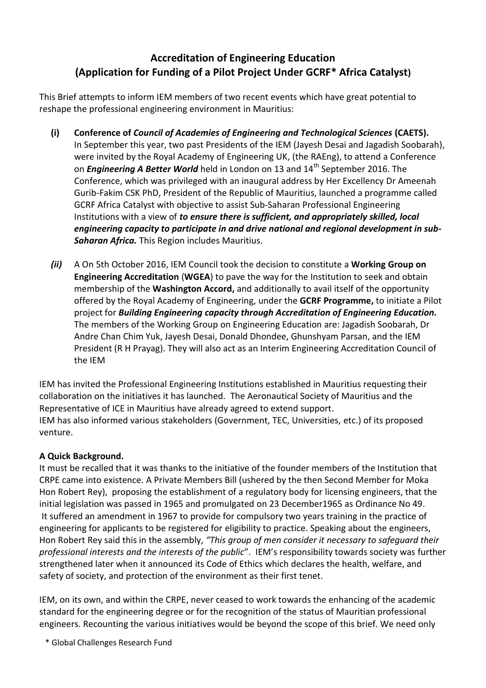# **Accreditation of Engineering Education (Application for Funding of a Pilot Project Under GCRF\* Africa Catalyst)**

This Brief attempts to inform IEM members of two recent events which have great potential to reshape the professional engineering environment in Mauritius:

- **(i) Conference of** *Council of Academies of Engineering and Technological Sciences* **(CAETS).** In September this year, two past Presidents of the IEM (Jayesh Desai and Jagadish Soobarah), were invited by the Royal Academy of Engineering UK, (the RAEng), to attend a Conference on *Engineering A Better World* held in London on 13 and 14<sup>th</sup> September 2016. The Conference, which was privileged with an inaugural address by Her Excellency Dr Ameenah Gurib-Fakim CSK PhD, President of the Republic of Mauritius, launched a programme called GCRF Africa Catalyst with objective to assist Sub-Saharan Professional Engineering Institutions with a view of *to ensure there is sufficient, and appropriately skilled, local engineering capacity to participate in and drive national and regional development in sub-Saharan Africa.* This Region includes Mauritius.
- *(ii)* A On 5th October 2016, IEM Council took the decision to constitute a **Working Group on Engineering Accreditation** (**WGEA**) to pave the way for the Institution to seek and obtain membership of the **Washington Accord,** and additionally to avail itself of the opportunity offered by the Royal Academy of Engineering, under the **GCRF Programme,** to initiate a Pilot project for *Building Engineering capacity through Accreditation of Engineering Education.* The members of the Working Group on Engineering Education are: Jagadish Soobarah, Dr Andre Chan Chim Yuk, Jayesh Desai, Donald Dhondee, Ghunshyam Parsan, and the IEM President (R H Prayag). They will also act as an Interim Engineering Accreditation Council of the IEM

IEM has invited the Professional Engineering Institutions established in Mauritius requesting their collaboration on the initiatives it has launched. The Aeronautical Society of Mauritius and the Representative of ICE in Mauritius have already agreed to extend support. IEM has also informed various stakeholders (Government, TEC, Universities, etc.) of its proposed venture.

# **A Quick Background.**

It must be recalled that it was thanks to the initiative of the founder members of the Institution that CRPE came into existence. A Private Members Bill (ushered by the then Second Member for Moka Hon Robert Rey), proposing the establishment of a regulatory body for licensing engineers, that the initial legislation was passed in 1965 and promulgated on 23 December1965 as Ordinance No 49. It suffered an amendment in 1967 to provide for compulsory two years training in the practice of engineering for applicants to be registered for eligibility to practice. Speaking about the engineers, Hon Robert Rey said this in the assembly, *"This group of men consider it necessary to safeguard their professional interests and the interests of the public*". IEM's responsibility towards society was further strengthened later when it announced its Code of Ethics which declares the health, welfare, and safety of society, and protection of the environment as their first tenet.

IEM, on its own, and within the CRPE, never ceased to work towards the enhancing of the academic standard for the engineering degree or for the recognition of the status of Mauritian professional engineers. Recounting the various initiatives would be beyond the scope of this brief. We need only

\* Global Challenges Research Fund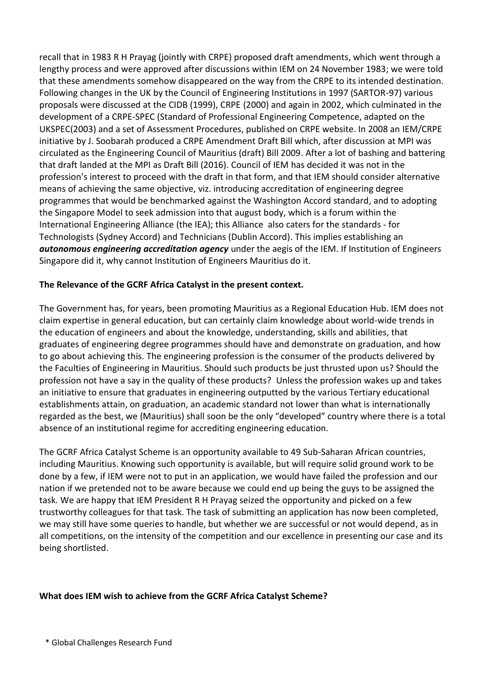recall that in 1983 R H Prayag (jointly with CRPE) proposed draft amendments, which went through a lengthy process and were approved after discussions within IEM on 24 November 1983; we were told that these amendments somehow disappeared on the way from the CRPE to its intended destination. Following changes in the UK by the Council of Engineering Institutions in 1997 (SARTOR-97) various proposals were discussed at the CIDB (1999), CRPE (2000) and again in 2002, which culminated in the development of a CRPE-SPEC (Standard of Professional Engineering Competence, adapted on the UKSPEC(2003) and a set of Assessment Procedures, published on CRPE website. In 2008 an IEM/CRPE initiative by J. Soobarah produced a CRPE Amendment Draft Bill which, after discussion at MPI was circulated as the Engineering Council of Mauritius (draft) Bill 2009. After a lot of bashing and battering that draft landed at the MPI as Draft Bill (2016). Council of IEM has decided it was not in the profession's interest to proceed with the draft in that form, and that IEM should consider alternative means of achieving the same objective, viz. introducing accreditation of engineering degree programmes that would be benchmarked against the Washington Accord standard, and to adopting the Singapore Model to seek admission into that august body, which is a forum within the International Engineering Alliance (the IEA); this Alliance also caters for the standards - for Technologists (Sydney Accord) and Technicians (Dublin Accord). This implies establishing an *autonomous engineering accreditation agency* under the aegis of the IEM. If Institution of Engineers Singapore did it, why cannot Institution of Engineers Mauritius do it.

### **The Relevance of the GCRF Africa Catalyst in the present context.**

The Government has, for years, been promoting Mauritius as a Regional Education Hub. IEM does not claim expertise in general education, but can certainly claim knowledge about world-wide trends in the education of engineers and about the knowledge, understanding, skills and abilities, that graduates of engineering degree programmes should have and demonstrate on graduation, and how to go about achieving this. The engineering profession is the consumer of the products delivered by the Faculties of Engineering in Mauritius. Should such products be just thrusted upon us? Should the profession not have a say in the quality of these products? Unless the profession wakes up and takes an initiative to ensure that graduates in engineering outputted by the various Tertiary educational establishments attain, on graduation, an academic standard not lower than what is internationally regarded as the best, we (Mauritius) shall soon be the only "developed" country where there is a total absence of an institutional regime for accrediting engineering education.

The GCRF Africa Catalyst Scheme is an opportunity available to 49 Sub-Saharan African countries, including Mauritius. Knowing such opportunity is available, but will require solid ground work to be done by a few, if IEM were not to put in an application, we would have failed the profession and our nation if we pretended not to be aware because we could end up being the guys to be assigned the task. We are happy that IEM President R H Prayag seized the opportunity and picked on a few trustworthy colleagues for that task. The task of submitting an application has now been completed, we may still have some queries to handle, but whether we are successful or not would depend, as in all competitions, on the intensity of the competition and our excellence in presenting our case and its being shortlisted.

#### **What does IEM wish to achieve from the GCRF Africa Catalyst Scheme?**

\* Global Challenges Research Fund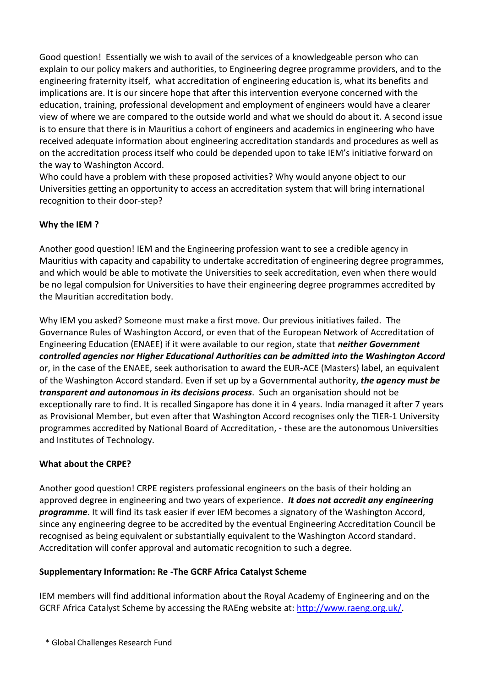Good question! Essentially we wish to avail of the services of a knowledgeable person who can explain to our policy makers and authorities, to Engineering degree programme providers, and to the engineering fraternity itself, what accreditation of engineering education is, what its benefits and implications are. It is our sincere hope that after this intervention everyone concerned with the education, training, professional development and employment of engineers would have a clearer view of where we are compared to the outside world and what we should do about it. A second issue is to ensure that there is in Mauritius a cohort of engineers and academics in engineering who have received adequate information about engineering accreditation standards and procedures as well as on the accreditation process itself who could be depended upon to take IEM's initiative forward on the way to Washington Accord.

Who could have a problem with these proposed activities? Why would anyone object to our Universities getting an opportunity to access an accreditation system that will bring international recognition to their door-step?

# **Why the IEM ?**

Another good question! IEM and the Engineering profession want to see a credible agency in Mauritius with capacity and capability to undertake accreditation of engineering degree programmes, and which would be able to motivate the Universities to seek accreditation, even when there would be no legal compulsion for Universities to have their engineering degree programmes accredited by the Mauritian accreditation body.

Why IEM you asked? Someone must make a first move. Our previous initiatives failed. The Governance Rules of Washington Accord, or even that of the European Network of Accreditation of Engineering Education (ENAEE) if it were available to our region, state that *neither Government controlled agencies nor Higher Educational Authorities can be admitted into the Washington Accord* or, in the case of the ENAEE, seek authorisation to award the EUR-ACE (Masters) label, an equivalent of the Washington Accord standard. Even if set up by a Governmental authority, *the agency must be transparent and autonomous in its decisions process*. Such an organisation should not be exceptionally rare to find. It is recalled Singapore has done it in 4 years. India managed it after 7 years as Provisional Member, but even after that Washington Accord recognises only the TIER-1 University programmes accredited by National Board of Accreditation, - these are the autonomous Universities and Institutes of Technology.

# **What about the CRPE?**

Another good question! CRPE registers professional engineers on the basis of their holding an approved degree in engineering and two years of experience. *It does not accredit any engineering programme*. It will find its task easier if ever IEM becomes a signatory of the Washington Accord, since any engineering degree to be accredited by the eventual Engineering Accreditation Council be recognised as being equivalent or substantially equivalent to the Washington Accord standard. Accreditation will confer approval and automatic recognition to such a degree.

# **Supplementary Information: Re -The GCRF Africa Catalyst Scheme**

IEM members will find additional information about the Royal Academy of Engineering and on the GCRF Africa Catalyst Scheme by accessing the RAEng website at: [http://www.raeng.org.uk/.](http://www.raeng.org.uk/)